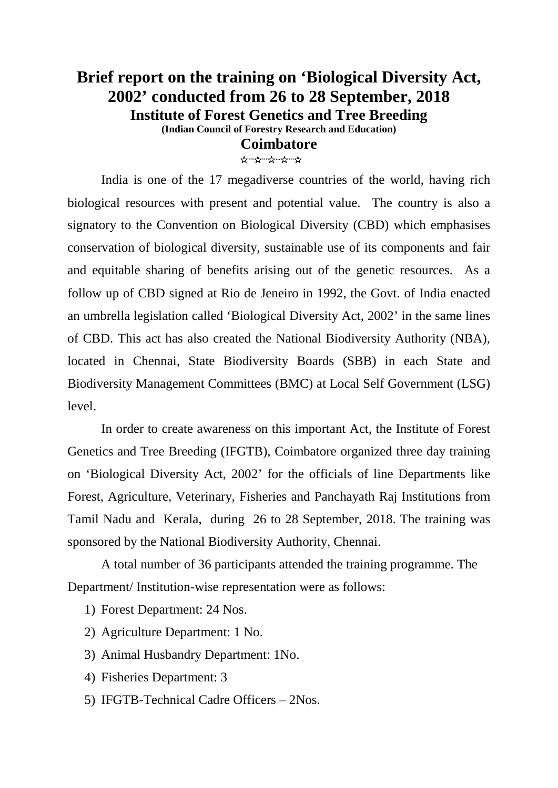## **Brief report on the training on 'Biological Diversity Act, 2002' conducted from 26 to 28 September, 2018 Institute of Forest Genetics and Tree Breeding (Indian Council of Forestry Research and Education)**

## **Coimbatore** ☆⋯☆⋯☆⋯☆⋯☆

India is one of the 17 megadiverse countries of the world, having rich biological resources with present and potential value. The country is also a signatory to the Convention on Biological Diversity (CBD) which emphasises conservation of biological diversity, sustainable use of its components and fair and equitable sharing of benefits arising out of the genetic resources. As a follow up of CBD signed at Rio de Jeneiro in 1992, the Govt. of India enacted an umbrella legislation called 'Biological Diversity Act, 2002' in the same lines of CBD. This act has also created the National Biodiversity Authority (NBA), located in Chennai, State Biodiversity Boards (SBB) in each State and Biodiversity Management Committees (BMC) at Local Self Government (LSG) level.

In order to create awareness on this important Act, the Institute of Forest Genetics and Tree Breeding (IFGTB), Coimbatore organized three day training on 'Biological Diversity Act, 2002' for the officials of line Departments like Forest, Agriculture, Veterinary, Fisheries and Panchayath Raj Institutions from Tamil Nadu and Kerala, during 26 to 28 September, 2018. The training was sponsored by the National Biodiversity Authority, Chennai.

A total number of 36 participants attended the training programme. The Department/ Institution-wise representation were as follows:

- 1) Forest Department: 24 Nos.
- 2) Agriculture Department: 1 No.
- 3) Animal Husbandry Department: 1No.
- 4) Fisheries Department: 3
- 5) IFGTB-Technical Cadre Officers 2Nos.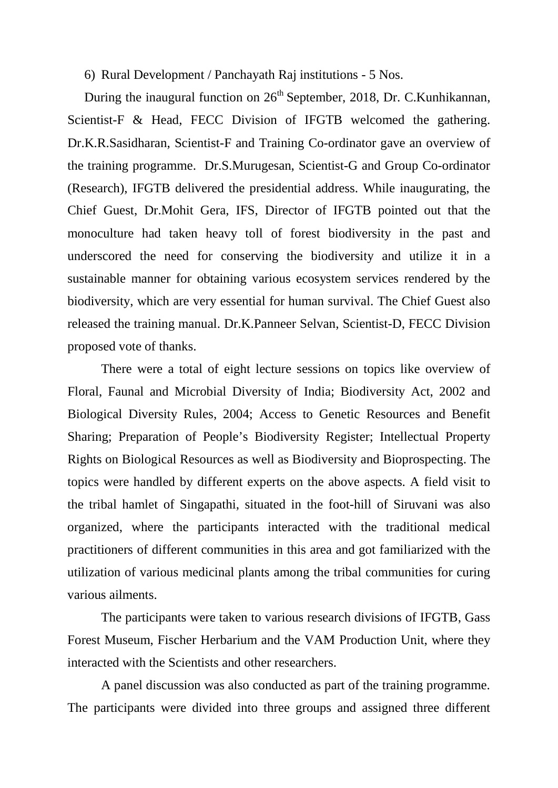6) Rural Development / Panchayath Raj institutions - 5 Nos.

During the inaugural function on  $26<sup>th</sup>$  September, 2018, Dr. C. Kunhikannan, Scientist-F & Head, FECC Division of IFGTB welcomed the gathering. Dr.K.R.Sasidharan, Scientist-F and Training Co-ordinator gave an overview of the training programme. Dr.S.Murugesan, Scientist-G and Group Co-ordinator (Research), IFGTB delivered the presidential address. While inaugurating, the Chief Guest, Dr.Mohit Gera, IFS, Director of IFGTB pointed out that the monoculture had taken heavy toll of forest biodiversity in the past and underscored the need for conserving the biodiversity and utilize it in a sustainable manner for obtaining various ecosystem services rendered by the biodiversity, which are very essential for human survival. The Chief Guest also released the training manual. Dr.K.Panneer Selvan, Scientist-D, FECC Division proposed vote of thanks.

There were a total of eight lecture sessions on topics like overview of Floral, Faunal and Microbial Diversity of India; Biodiversity Act, 2002 and Biological Diversity Rules, 2004; Access to Genetic Resources and Benefit Sharing; Preparation of People's Biodiversity Register; Intellectual Property Rights on Biological Resources as well as Biodiversity and Bioprospecting. The topics were handled by different experts on the above aspects. A field visit to the tribal hamlet of Singapathi, situated in the foot-hill of Siruvani was also organized, where the participants interacted with the traditional medical practitioners of different communities in this area and got familiarized with the utilization of various medicinal plants among the tribal communities for curing various ailments.

The participants were taken to various research divisions of IFGTB, Gass Forest Museum, Fischer Herbarium and the VAM Production Unit, where they interacted with the Scientists and other researchers.

A panel discussion was also conducted as part of the training programme. The participants were divided into three groups and assigned three different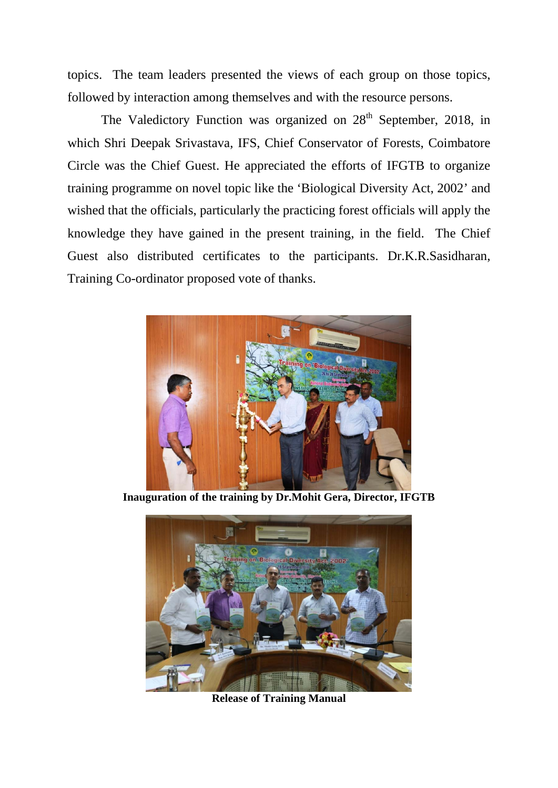topics. The team leaders presented the views of each group on those topics, followed by interaction among themselves and with the resource persons.

The Valedictory Function was organized on  $28<sup>th</sup>$  September, 2018, in which Shri Deepak Srivastava, IFS, Chief Conservator of Forests, Coimbatore Circle was the Chief Guest. He appreciated the efforts of IFGTB to organize training programme on novel topic like the 'Biological Diversity Act, 2002' and wished that the officials, particularly the practicing forest officials will apply the knowledge they have gained in the present training, in the field. The Chief Guest also distributed certificates to the participants. Dr.K.R.Sasidharan, Training Co-ordinator proposed vote of thanks.



**Inauguration of the training by Dr.Mohit Gera, Director, IFGTB**



**Release of Training Manual**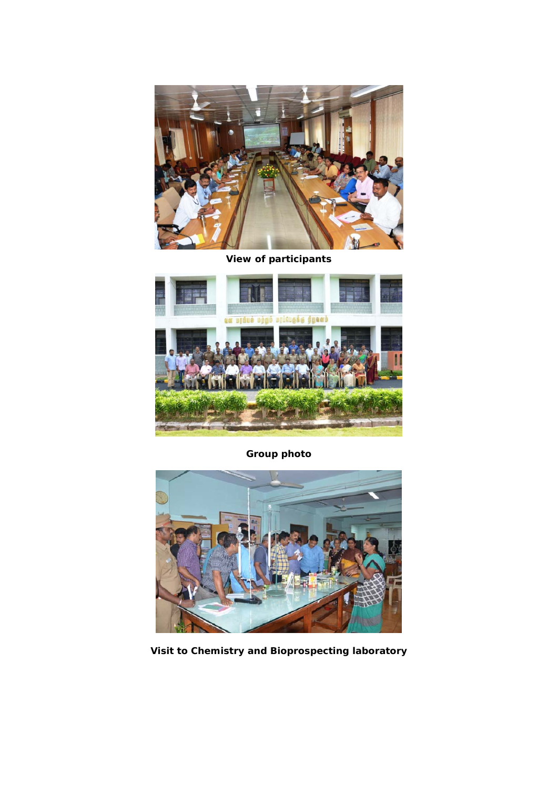

**View of participants**



**Group photo**



**Visit to Chemistry and Bioprospecting laboratory**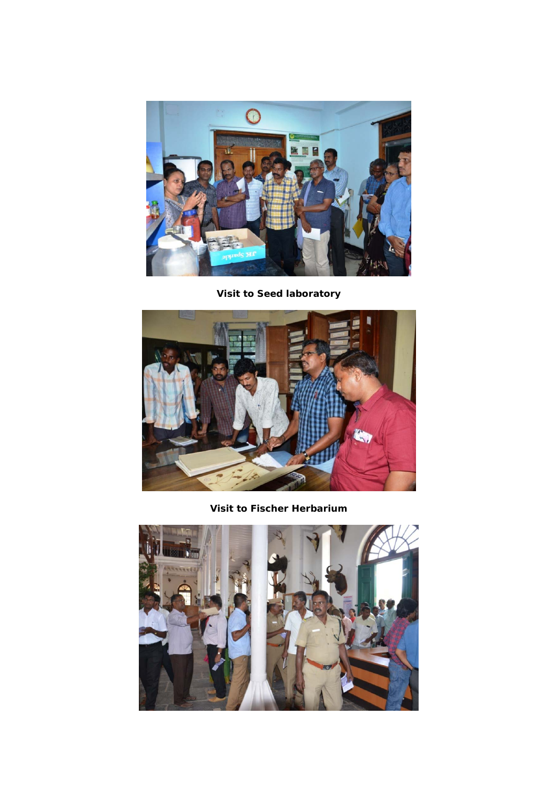

**Visit to Seed laboratory**



**Visit to Fischer Herbarium**

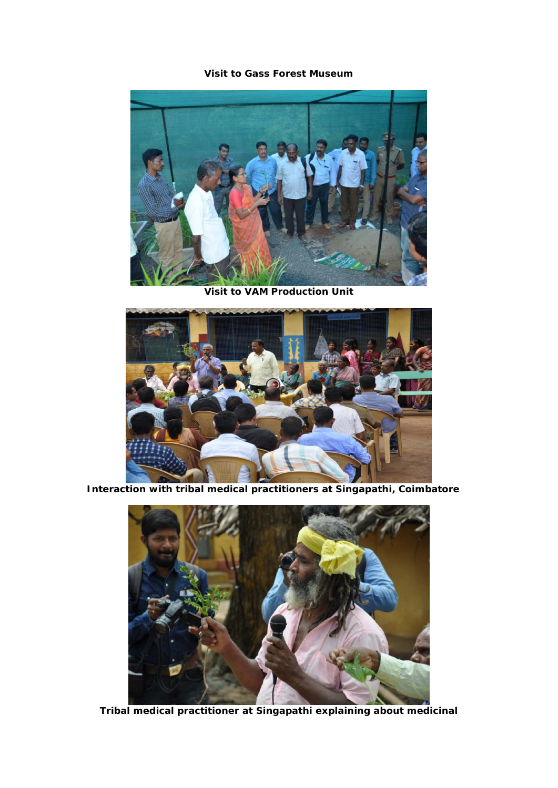## **Visit to Gass Forest Museum**



**Visit to VAM Production Unit**



**Interaction with tribal medical practitioners at Singapathi, Coimbatore**



**Tribal medical practitioner at Singapathi explaining about medicinal**